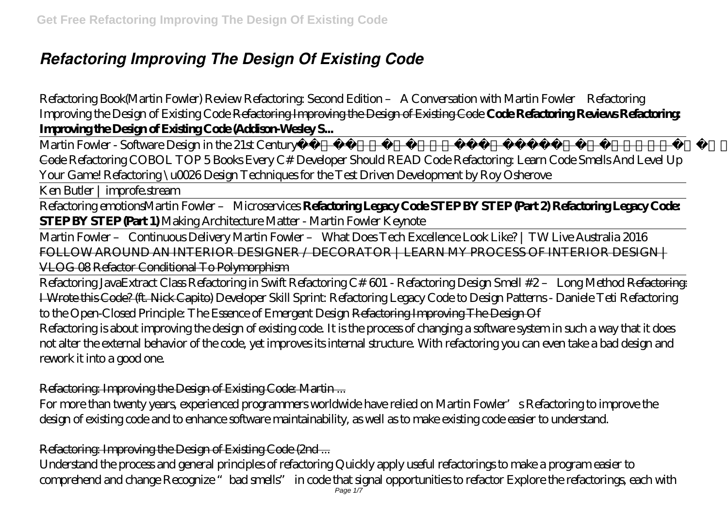# *Refactoring Improving The Design Of Existing Code*

*Refactoring Book(Martin Fowler) Review Refactoring: Second Edition – A Conversation with Martin Fowler Refactoring Improving the Design of Existing Code* Refactoring Improving the Design of Existing Code **Code Refactoring Reviews Refactoring: Improving the Design of Existing Code (Addison-Wesley S...**

Martin Fowler - Software Design in the 21st Century DevTernity 2019: Bartl omiej Słota – Live Refactoring Towards Solid Code *Refactoring COBOL TOP 5 Books Every C# Developer Should READ Code Refactoring: Learn Code Smells And Level Up Your Game! Refactoring \u0026 Design Techniques for the Test Driven Development by Roy Osherove*

Ken Butler | improfe.stream

Refactoring emotions*Martin Fowler – Microservices* **Refactoring Legacy Code STEP BY STEP (Part 2) Refactoring Legacy Code: STEP BY STEP (Part 1)** *Making Architecture Matter - Martin Fowler Keynote*

Martin Fowler – Continuous Delivery Martin Fowler – What Does Tech Excellence Look Like? | TW Live Australia 2016 FOLLOW AROUND AN INTERIOR DESIGNER / DECORATOR | LEARN MY PROCESS OF INTERIOR DESIGN | VLOG 08 Refactor Conditional To Polymorphism

Refactoring Java*Extract Class Refactoring in Swift Refactoring C# 601 - Refactoring Design Smell #2 – Long Method* Refactoring: I Wrote this Code? (ft. Nick Capito) *Developer Skill Sprint: Refactoring Legacy Code to Design Patterns - Daniele Teti Refactoring to the Open-Closed Principle: The Essence of Emergent Design* Refactoring Improving The Design Of Refactoring is about improving the design of existing code. It is the process of changing a software system in such a way that it does not alter the external behavior of the code, yet improves its internal structure. With refactoring you can even take a bad design and rework it into a good one.

#### Refactoring: Improving the Design of Existing Code: Martin ...

For more than twenty years, experienced programmers worldwide have relied on Martin Fowler's Refactoring to improve the design of existing code and to enhance software maintainability, as well as to make existing code easier to understand.

#### Refactoring: Improving the Design of Existing Code (2nd ...

Understand the process and general principles of refactoring Quickly apply useful refactorings to make a program easier to comprehend and change Recognize "bad smells" in code that signal opportunities to refactor Explore the refactorings, each with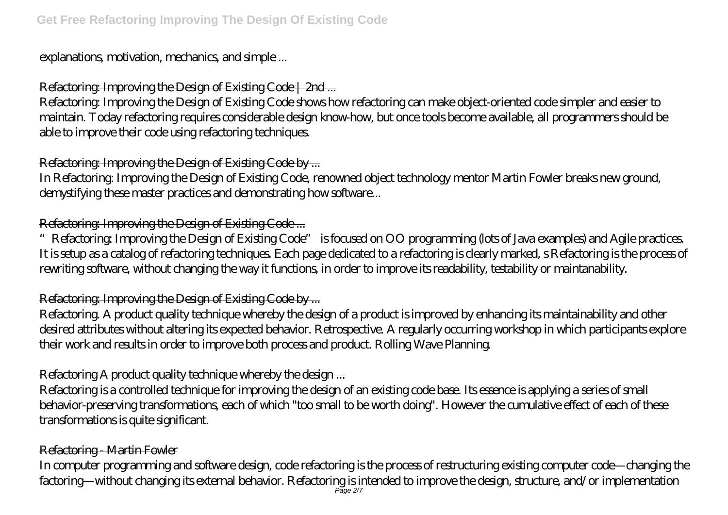explanations, motivation, mechanics, and simple ...

# Refactoring: Improving the Design of Existing Code | 2nd ...

Refactoring: Improving the Design of Existing Code shows how refactoring can make object-oriented code simpler and easier to maintain. Today refactoring requires considerable design know-how, but once tools become available, all programmers should be able to improve their code using refactoring techniques.

# Refactoring: Improving the Design of Existing Code by ...

In Refactoring: Improving the Design of Existing Code, renowned object technology mentor Martin Fowler breaks new ground, demystifying these master practices and demonstrating how software...

# Refactoring: Improving the Design of Existing Code ...

"Refactoring: Improving the Design of Existing Code" is focused on OO programming (lots of Java examples) and Agile practices. It is setup as a catalog of refactoring techniques. Each page dedicated to a refactoring is clearly marked, s Refactoring is the process of rewriting software, without changing the way it functions, in order to improve its readability, testability or maintanability.

# Refactoring: Improving the Design of Existing Code by ...

Refactoring. A product quality technique whereby the design of a product is improved by enhancing its maintainability and other desired attributes without altering its expected behavior. Retrospective. A regularly occurring workshop in which participants explore their work and results in order to improve both process and product. Rolling Wave Planning.

# Refactoring A product quality technique whereby the design ...

Refactoring is a controlled technique for improving the design of an existing code base. Its essence is applying a series of small behavior-preserving transformations, each of which "too small to be worth doing". However the cumulative effect of each of these transformations is quite significant.

# Refactoring - Martin Fowler

In computer programming and software design, code refactoring is the process of restructuring existing computer code—changing the factoring—without changing its external behavior. Refactoring is intended to improve the design, structure, and/or implementation Page 2/7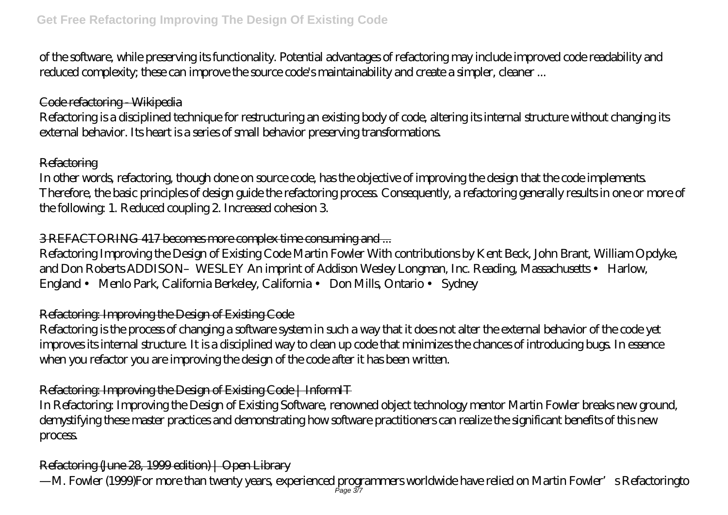of the software, while preserving its functionality. Potential advantages of refactoring may include improved code readability and reduced complexity; these can improve the source code's maintainability and create a simpler, cleaner ...

#### Code refactoring - Wikipedia

Refactoring is a disciplined technique for restructuring an existing body of code, altering its internal structure without changing its external behavior. Its heart is a series of small behavior preserving transformations.

#### **Refactoring**

In other words, refactoring, though done on source code, has the objective of improving the design that the code implements. Therefore, the basic principles of design guide the refactoring process. Consequently, a refactoring generally results in one or more of the following: 1. Reduced coupling 2. Increased cohesion 3.

## 3 REFACTORING 417 becomes more complex time consuming and ...

Refactoring Improving the Design of Existing Code Martin Fowler With contributions by Kent Beck, John Brant, William Opdyke, and Don Roberts ADDISON–WESLEY An imprint of Addison Wesley Longman, Inc. Reading, Massachusetts • Harlow, England • Menlo Park, California Berkeley, California • Don Mills, Ontario • Sydney

## Refactoring: Improving the Design of Existing Code

Refactoring is the process of changing a software system in such a way that it does not alter the external behavior of the code yet improves its internal structure. It is a disciplined way to clean up code that minimizes the chances of introducing bugs. In essence when you refactor you are improving the design of the code after it has been written.

## Refactoring: Improving the Design of Existing Code | InformIT

In Refactoring: Improving the Design of Existing Software, renowned object technology mentor Martin Fowler breaks new ground, demystifying these master practices and demonstrating how software practitioners can realize the significant benefits of this new process.

## Refactoring (June 28, 1999 edition) | Open Library

—M. Fowler (1999)For more than twenty years, experienced programmers worldwide have relied on Martin Fowler's Refactoringto Page 3/7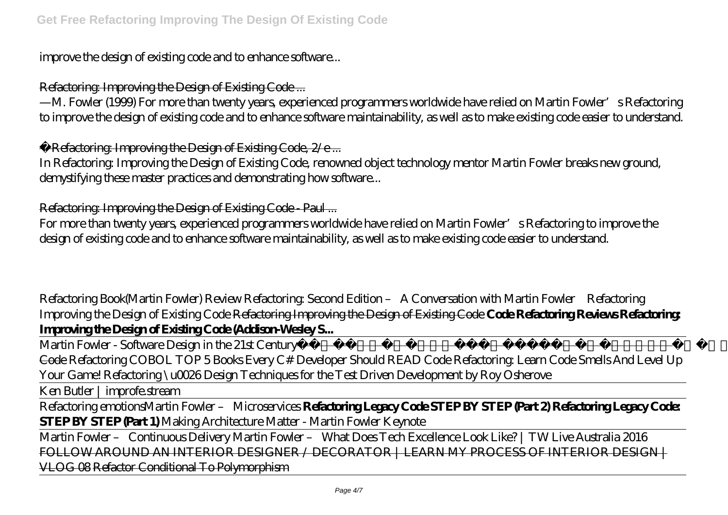improve the design of existing code and to enhance software...

#### Refactoring: Improving the Design of Existing Code ...

—M. Fowler (1999) For more than twenty years, experienced programmers worldwide have relied on Martin Fowler's Refactoring to improve the design of existing code and to enhance software maintainability, as well as to make existing code easier to understand.

Refactoring: Improving the Design of Existing Code, 2/e ...

In Refactoring: Improving the Design of Existing Code, renowned object technology mentor Martin Fowler breaks new ground, demystifying these master practices and demonstrating how software...

Refactoring: Improving the Design of Existing Code - Paul ...

For more than twenty years, experienced programmers worldwide have relied on Martin Fowler's Refactoring to improve the design of existing code and to enhance software maintainability, as well as to make existing code easier to understand.

*Refactoring Book(Martin Fowler) Review Refactoring: Second Edition – A Conversation with Martin Fowler Refactoring Improving the Design of Existing Code* Refactoring Improving the Design of Existing Code **Code Refactoring Reviews Refactoring: Improving the Design of Existing Code (Addison-Wesley S...**

Martin Fowler - Software Design in the 21st Century DevTernity 2019: Bartl omiej Słota – Live Refactoring Towards Solid Code *Refactoring COBOL TOP 5 Books Every C# Developer Should READ Code Refactoring: Learn Code Smells And Level Up Your Game! Refactoring \u0026 Design Techniques for the Test Driven Development by Roy Osherove*

Ken Butler | improfe.stream

Refactoring emotions*Martin Fowler – Microservices* **Refactoring Legacy Code STEP BY STEP (Part 2) Refactoring Legacy Code: STEP BY STEP (Part 1)** *Making Architecture Matter - Martin Fowler Keynote*

Martin Fowler – Continuous Delivery Martin Fowler – What Does Tech Excellence Look Like? | TW Live Australia 2016 FOLLOW AROUND AN INTERIOR DESIGNER / DECORATOR | LEARN MY PROCESS OF INTERIOR DESIGN | VLOG 08 Refactor Conditional To Polymorphism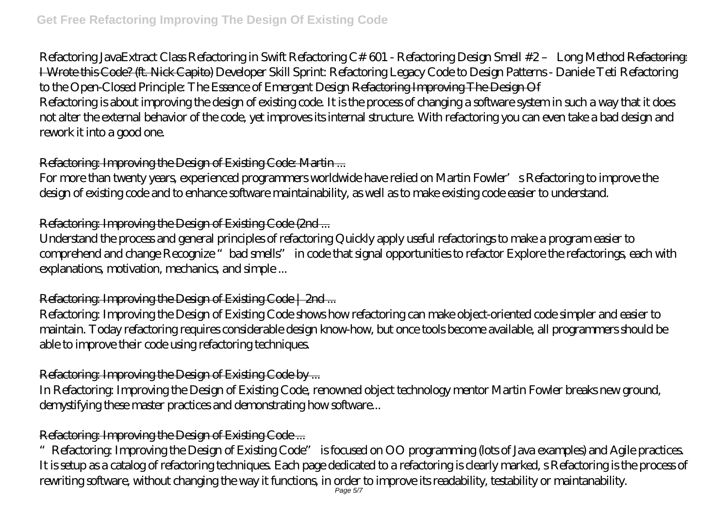Refactoring Java*Extract Class Refactoring in Swift Refactoring C# 601 - Refactoring Design Smell #2 – Long Method* Refactoring: I Wrote this Code? (ft. Nick Capito) *Developer Skill Sprint: Refactoring Legacy Code to Design Patterns - Daniele Teti Refactoring to the Open-Closed Principle: The Essence of Emergent Design* Refactoring Improving The Design Of Refactoring is about improving the design of existing code. It is the process of changing a software system in such a way that it does not alter the external behavior of the code, yet improves its internal structure. With refactoring you can even take a bad design and rework it into a good one.

# Refactoring: Improving the Design of Existing Code: Martin ...

For more than twenty years, experienced programmers worldwide have relied on Martin Fowler's Refactoring to improve the design of existing code and to enhance software maintainability, as well as to make existing code easier to understand.

## Refactoring: Improving the Design of Existing Code (2nd ...

Understand the process and general principles of refactoring Quickly apply useful refactorings to make a program easier to comprehend and change Recognize "bad smells" in code that signal opportunities to refactor Explore the refactorings, each with explanations, motivation, mechanics, and simple ...

## Refactoring: Improving the Design of Existing Code | 2nd ...

Refactoring: Improving the Design of Existing Code shows how refactoring can make object-oriented code simpler and easier to maintain. Today refactoring requires considerable design know-how, but once tools become available, all programmers should be able to improve their code using refactoring techniques.

## Refactoring: Improving the Design of Existing Code by ...

In Refactoring: Improving the Design of Existing Code, renowned object technology mentor Martin Fowler breaks new ground, demystifying these master practices and demonstrating how software...

# Refactoring: Improving the Design of Existing Code ...

"Refactoring: Improving the Design of Existing Code" is focused on OO programming (lots of Java examples) and Agile practices. It is setup as a catalog of refactoring techniques. Each page dedicated to a refactoring is clearly marked, s Refactoring is the process of rewriting software, without changing the way it functions, in order to improve its readability, testability or maintanability.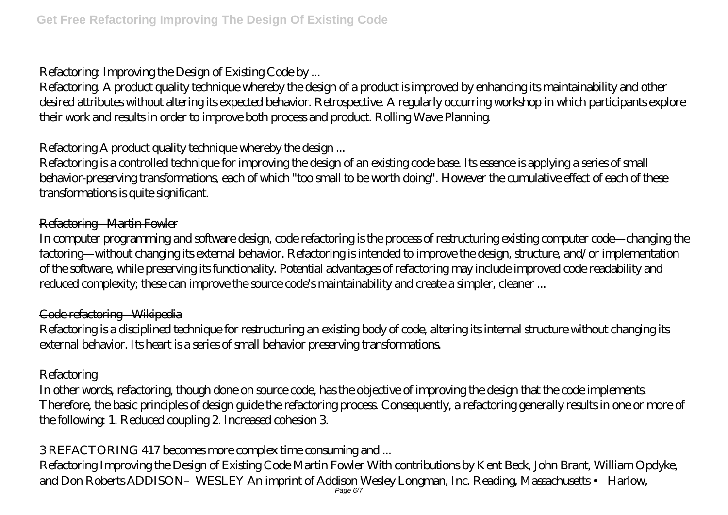## Refactoring: Improving the Design of Existing Code by ...

Refactoring. A product quality technique whereby the design of a product is improved by enhancing its maintainability and other desired attributes without altering its expected behavior. Retrospective. A regularly occurring workshop in which participants explore their work and results in order to improve both process and product. Rolling Wave Planning.

## Refactoring A product quality technique whereby the design...

Refactoring is a controlled technique for improving the design of an existing code base. Its essence is applying a series of small behavior-preserving transformations, each of which "too small to be worth doing". However the cumulative effect of each of these transformations is quite significant.

#### Refactoring - Martin Fowler

In computer programming and software design, code refactoring is the process of restructuring existing computer code—changing the factoring—without changing its external behavior. Refactoring is intended to improve the design, structure, and/or implementation of the software, while preserving its functionality. Potential advantages of refactoring may include improved code readability and reduced complexity; these can improve the source code's maintainability and create a simpler, cleaner ...

#### Code refactoring - Wikipedia

Refactoring is a disciplined technique for restructuring an existing body of code, altering its internal structure without changing its external behavior. Its heart is a series of small behavior preserving transformations.

#### **Refactoring**

In other words, refactoring, though done on source code, has the objective of improving the design that the code implements. Therefore, the basic principles of design guide the refactoring process. Consequently, a refactoring generally results in one or more of the following: 1. Reduced coupling 2. Increased cohesion 3.

## 3 REFACTORING 417 becomes more complex time consuming and ...

Refactoring Improving the Design of Existing Code Martin Fowler With contributions by Kent Beck, John Brant, William Opdyke, and Don Roberts ADDISON–WESLEY An imprint of Addison Wesley Longman, Inc. Reading, Massachusetts • Harlow,